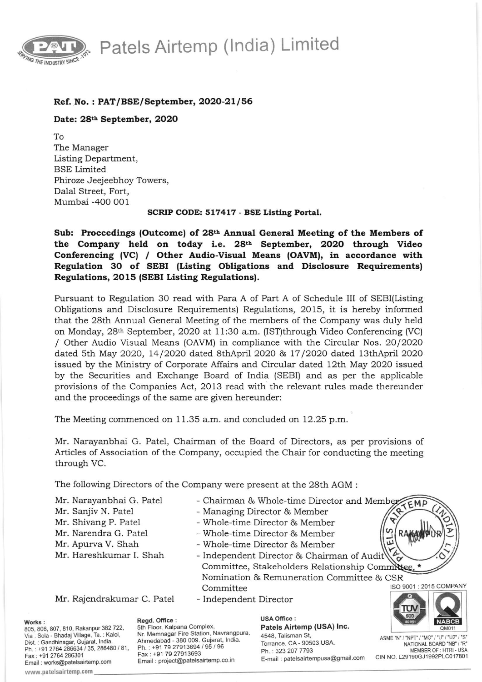Patels Airtemp (India) Limited



## Ref. No.: PAT/BSE/September, 2020-21/56

Date: 28th September, 2020

IO The Manager Listing Department, BSE Limited Phiroze Jeejeebhoy Towers, Dalal Street, Fort, Mumbai -4OO OO1

SCRIP CODE: 517417 - BSE Listing Portal.

Sub: Proceedings (Outcome) of 28<sup>th</sup> Annual General Meeting of the Members of the Company held on today i.e. 28<sup>th</sup> September, 2020 through Video Conferencing (VC) / Other Audio-Visual Means (OAVM), in accordance with Regulation 30 of SEBI (Listing Obligations and Disclosure Requirements) Regulations, 20 15 (SEBI Listiag Regulationsl.

Pursuant to Regulation 30 read with Para A of Part A of Schedule III of SEBI(Listing Obligations and Disclosure Requirements) Regulations, 2015, it is hereby informed that the 28th Annual General Meeting of the members of the Company was duly held on Monday, 28th September,2O2O at 11:30 a.m. (IST)through Video Conferencing (VC) / Other Audio Visual Means (OAVM) in compliance with the Circular Nos. 2O/2020 dated Sth May 2O2O, 14 /2O2O dated SthApril 2O2O &, 17 /2O2O dated 13thApril 2020 issued by the Ministry of Corporate Affairs and Circular dated 12th May 2O2O issued by the Securities and Exchange Board of India (SEBI) and as per the applicable provisions of the Companies Act, 2O13 read with the relevant rules made thereunder and the proceedings of the same are given hereunder:

The Meeting commenced on 11.35 a.m. and concluded on 12.25 p.m.

Mr. Narayanbhai G. Patel, Chairman of the Board of Directors, as per provisions of Articles of Association of the Company, occupied the Chair for conducting the meeting through VC.

The following Directors of the Company were present at the 28th AGM :

- Mr. Narayanbhaj G. Patel Mr. Sanjiv N. Patel Mr. Shivang P. Patel Mr. Narendra G. Patel Mr. Apurva V. Shah Mr. Hareshkumar I. Shah
- Chairman & Whole-time Director and Memb
- Managing Director & Member
- Whole-time Director & Member
- Whole-time Director & Member
- Whole-time Director & Member

Committee ISO 9001 : 2015 COMPANY - Independent Director & Chairman of Audi Committee, Stakeholders Relationship Committee, Nomination & Remuneration Comrnittee & CSR  $\check{\circ}$ 

Mr. Rajendrakumar C. Patel

- Independent Director

Works :

805, 806, 807, 810, Rakanpur 382 722, Via : Sola - Bhadaj Village, Ta. : Kalol, Oist. : Gandhinagar, Gujarat, lndia. Ph.: +91 2764 286634 / 35, 286480 / 81, Fax : +91 2764 286301 Email: works@patelsairtemp.com

www.patelsairtemp.com

Regd. Office :

5th Floor, Kalpana Complex, Nr. Memnagar Fire Station, Navrangpura, Ahmedabad - 380 009. Gujarat, lndia. Ph. : +91 79 27913694 / 95 / 96 Fax : +91 79 27913693 Email : projecl@patelsairtemp.co.in

**USA Office :** Patels Airtemp (USA) Inc. 4548, Talisman St, Torrance, CA - 90503 USA. Ph. : 323 207 7793 E-mail : patelsairtempusa@gmail.com



 $\mathbf{A}$ 

{ EMP

tJ) J U)

ASME "N" / "NPT" / "MO" / "U" / "U2" / "S" NATIONAL BOARD "NB" / "R" MEMBER OF : HTRI - USA CIN NO. L29190GJ1992PLC017801